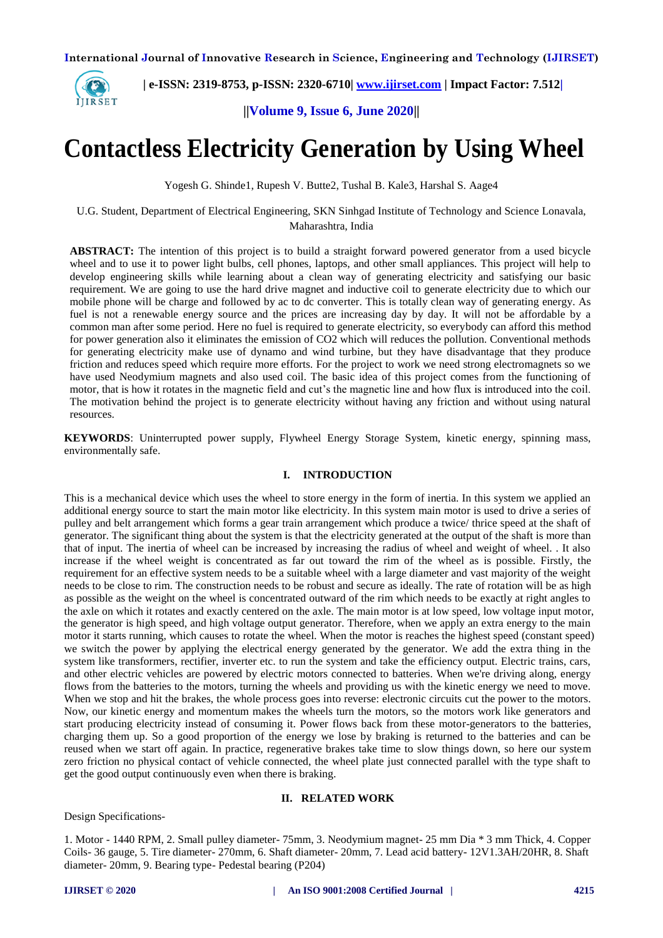

 **| e-ISSN: 2319-8753, p-ISSN: 2320-6710[| www.ijirset.com](http://www.ijirset.com/) | Impact Factor: 7.512|**

**||Volume 9, Issue 6, June 2020||** 

# **Contactless Electricity Generation by Using Wheel**

Yogesh G. Shinde1, Rupesh V. Butte2, Tushal B. Kale3, Harshal S. Aage4

U.G. Student, Department of Electrical Engineering, SKN Sinhgad Institute of Technology and Science Lonavala, Maharashtra, India

**ABSTRACT:** The intention of this project is to build a straight forward powered generator from a used bicycle wheel and to use it to power light bulbs, cell phones, laptops, and other small appliances. This project will help to develop engineering skills while learning about a clean way of generating electricity and satisfying our basic requirement. We are going to use the hard drive magnet and inductive coil to generate electricity due to which our mobile phone will be charge and followed by ac to dc converter. This is totally clean way of generating energy. As fuel is not a renewable energy source and the prices are increasing day by day. It will not be affordable by a common man after some period. Here no fuel is required to generate electricity, so everybody can afford this method for power generation also it eliminates the emission of CO2 which will reduces the pollution. Conventional methods for generating electricity make use of dynamo and wind turbine, but they have disadvantage that they produce friction and reduces speed which require more efforts. For the project to work we need strong electromagnets so we have used Neodymium magnets and also used coil. The basic idea of this project comes from the functioning of motor, that is how it rotates in the magnetic field and cut's the magnetic line and how flux is introduced into the coil. The motivation behind the project is to generate electricity without having any friction and without using natural resources.

**KEYWORDS**: Uninterrupted power supply, Flywheel Energy Storage System, kinetic energy, spinning mass, environmentally safe.

## **I. INTRODUCTION**

This is a mechanical device which uses the wheel to store energy in the form of inertia. In this system we applied an additional energy source to start the main motor like electricity. In this system main motor is used to drive a series of pulley and belt arrangement which forms a gear train arrangement which produce a twice/ thrice speed at the shaft of generator. The significant thing about the system is that the electricity generated at the output of the shaft is more than that of input. The inertia of wheel can be increased by increasing the radius of wheel and weight of wheel. . It also increase if the wheel weight is concentrated as far out toward the rim of the wheel as is possible. Firstly, the requirement for an effective system needs to be a suitable wheel with a large diameter and vast majority of the weight needs to be close to rim. The construction needs to be robust and secure as ideally. The rate of rotation will be as high as possible as the weight on the wheel is concentrated outward of the rim which needs to be exactly at right angles to the axle on which it rotates and exactly centered on the axle. The main motor is at low speed, low voltage input motor, the generator is high speed, and high voltage output generator. Therefore, when we apply an extra energy to the main motor it starts running, which causes to rotate the wheel. When the motor is reaches the highest speed (constant speed) we switch the power by applying the electrical energy generated by the generator. We add the extra thing in the system like transformers, rectifier, inverter etc. to run the system and take the efficiency output. Electric trains, cars, and other electric vehicles are powered by electric motors connected to batteries. When we're driving along, energy flows from the batteries to the motors, turning the wheels and providing us with the kinetic energy we need to move. When we stop and hit the brakes, the whole process goes into reverse: electronic circuits cut the power to the motors. Now, our kinetic energy and momentum makes the wheels turn the motors, so the motors work like generators and start producing electricity instead of consuming it. Power flows back from these motor-generators to the batteries, charging them up. So a good proportion of the energy we lose by braking is returned to the batteries and can be reused when we start off again. In practice, regenerative brakes take time to slow things down, so here our system zero friction no physical contact of vehicle connected, the wheel plate just connected parallel with the type shaft to get the good output continuously even when there is braking.

## **II. RELATED WORK**

Design Specifications-

1. Motor - 1440 RPM, 2. Small pulley diameter- 75mm, 3. Neodymium magnet- 25 mm Dia \* 3 mm Thick, 4. Copper Coils- 36 gauge, 5. Tire diameter- 270mm, 6. Shaft diameter- 20mm, 7. Lead acid battery- 12V1.3AH/20HR, 8. Shaft diameter- 20mm, 9. Bearing type- Pedestal bearing (P204)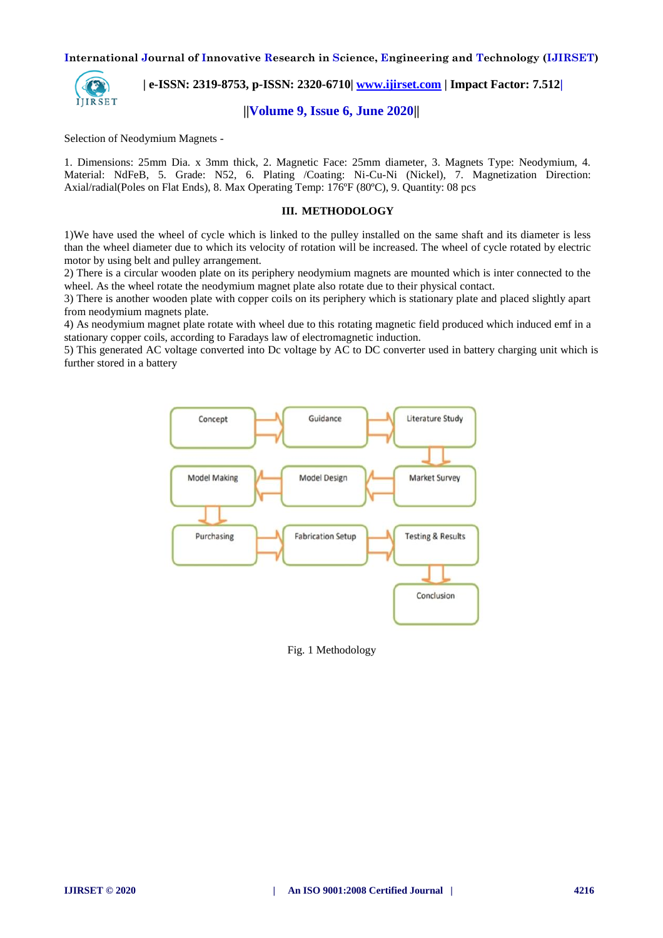

 **| e-ISSN: 2319-8753, p-ISSN: 2320-6710[| www.ijirset.com](http://www.ijirset.com/) | Impact Factor: 7.512|**

# **||Volume 9, Issue 6, June 2020||**

Selection of Neodymium Magnets -

1. Dimensions: 25mm Dia. x 3mm thick, 2. Magnetic Face: 25mm diameter, 3. Magnets Type: Neodymium, 4. Material: NdFeB, 5. Grade: N52, 6. Plating /Coating: Ni-Cu-Ni (Nickel), 7. Magnetization Direction: Axial/radial(Poles on Flat Ends), 8. Max Operating Temp: 176ºF (80ºC), 9. Quantity: 08 pcs

#### **III. METHODOLOGY**

1)We have used the wheel of cycle which is linked to the pulley installed on the same shaft and its diameter is less than the wheel diameter due to which its velocity of rotation will be increased. The wheel of cycle rotated by electric motor by using belt and pulley arrangement.

2) There is a circular wooden plate on its periphery neodymium magnets are mounted which is inter connected to the wheel. As the wheel rotate the neodymium magnet plate also rotate due to their physical contact.

3) There is another wooden plate with copper coils on its periphery which is stationary plate and placed slightly apart from neodymium magnets plate.

4) As neodymium magnet plate rotate with wheel due to this rotating magnetic field produced which induced emf in a stationary copper coils, according to Faradays law of electromagnetic induction.

5) This generated AC voltage converted into Dc voltage by AC to DC converter used in battery charging unit which is further stored in a battery



Fig. 1 Methodology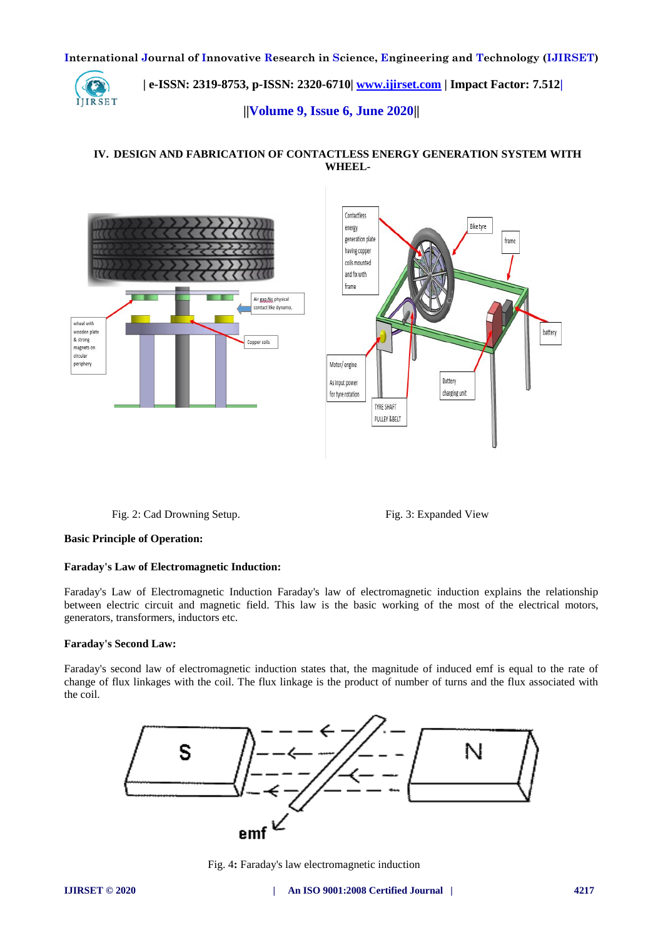

 **| e-ISSN: 2319-8753, p-ISSN: 2320-6710[| www.ijirset.com](http://www.ijirset.com/) | Impact Factor: 7.512|**

**||Volume 9, Issue 6, June 2020||** 

**IV. DESIGN AND FABRICATION OF CONTACTLESS ENERGY GENERATION SYSTEM WITH WHEEL-**



Fig. 2: Cad Drowning Setup. Fig. 3: Expanded View

## **Basic Principle of Operation:**

#### **Faraday's Law of Electromagnetic Induction:**

Faraday's Law of Electromagnetic Induction Faraday's law of electromagnetic induction explains the relationship between electric circuit and magnetic field. This law is the basic working of the most of the electrical motors, generators, transformers, inductors etc.

## **Faraday's Second Law:**

Faraday's second law of electromagnetic induction states that, the magnitude of induced emf is equal to the rate of change of flux linkages with the coil. The flux linkage is the product of number of turns and the flux associated with the coil.



Fig. 4**:** Faraday's law electromagnetic induction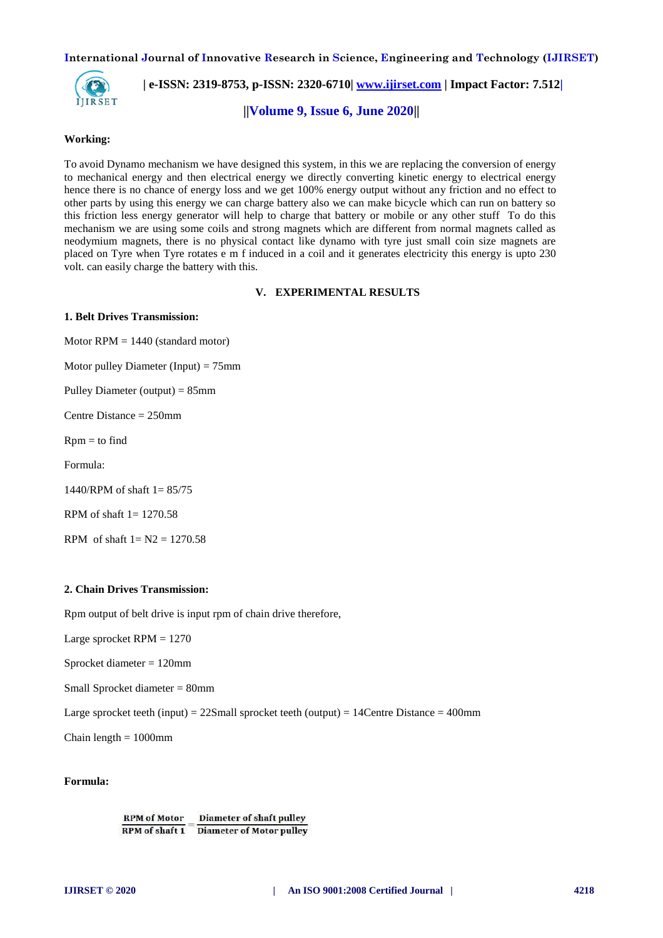

 **| e-ISSN: 2319-8753, p-ISSN: 2320-6710[| www.ijirset.com](http://www.ijirset.com/) | Impact Factor: 7.512|**

**||Volume 9, Issue 6, June 2020||** 

## **Working:**

To avoid Dynamo mechanism we have designed this system, in this we are replacing the conversion of energy to mechanical energy and then electrical energy we directly converting kinetic energy to electrical energy hence there is no chance of energy loss and we get 100% energy output without any friction and no effect to other parts by using this energy we can charge battery also we can make bicycle which can run on battery so this friction less energy generator will help to charge that battery or mobile or any other stuff To do this mechanism we are using some coils and strong magnets which are different from normal magnets called as neodymium magnets, there is no physical contact like dynamo with tyre just small coin size magnets are placed on Tyre when Tyre rotates e m f induced in a coil and it generates electricity this energy is upto 230 volt. can easily charge the battery with this.

#### **V. EXPERIMENTAL RESULTS**

#### **1. Belt Drives Transmission:**

Motor  $RPM = 1440$  (standard motor)

Motor pulley Diameter (Input)  $= 75$ mm

Pulley Diameter (output) = 85mm

Centre Distance = 250mm

 $Rpm = to find$ 

Formula:

1440/RPM of shaft 1= 85/75

RPM of shaft  $1 = 1270.58$ 

RPM of shaft  $1 = N2 = 1270.58$ 

#### **2. Chain Drives Transmission:**

Rpm output of belt drive is input rpm of chain drive therefore,

Large sprocket RPM = 1270

Sprocket diameter = 120mm

Small Sprocket diameter = 80mm

Large sprocket teeth (input) =  $22$ Small sprocket teeth (output) =  $14$ Centre Distance =  $400$ mm

Chain length  $= 1000$ mm

**Formula:**

**RPM of Motor Diameter of shaft pulley**  $\frac{1}{RPM \text{ of shaft 1}} = \frac{2}{Diameter \text{ of Motor pulley}}$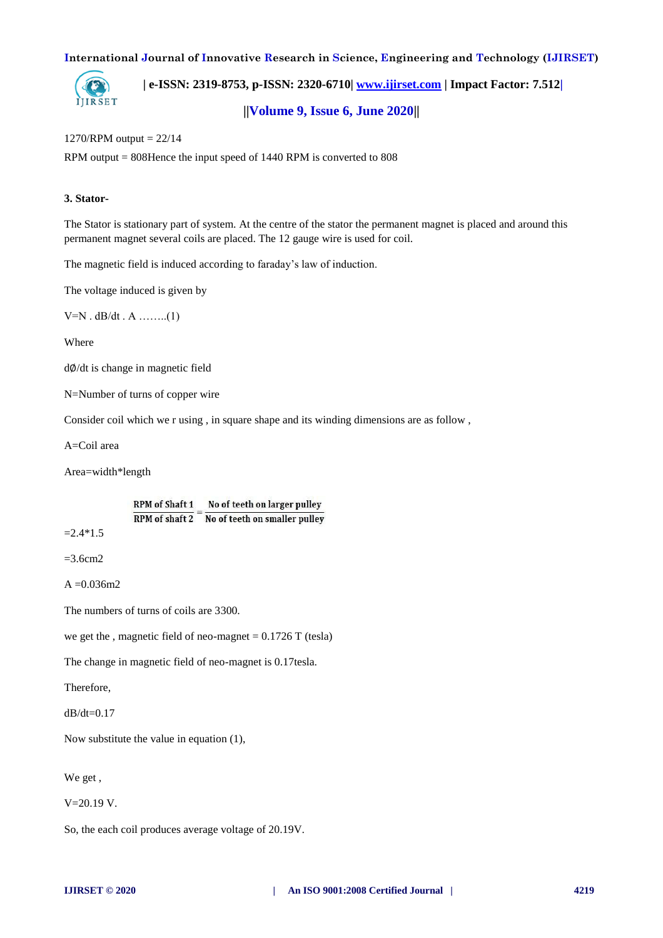

 **| e-ISSN: 2319-8753, p-ISSN: 2320-6710[| www.ijirset.com](http://www.ijirset.com/) | Impact Factor: 7.512|**

# **||Volume 9, Issue 6, June 2020||**

# 1270/RPM output = 22/14

RPM output = 808Hence the input speed of 1440 RPM is converted to 808

# **3. Stator-**

The Stator is stationary part of system. At the centre of the stator the permanent magnet is placed and around this permanent magnet several coils are placed. The 12 gauge wire is used for coil.

The magnetic field is induced according to faraday's law of induction.

The voltage induced is given by

 $V=N$ .  $dB/dt$ . A ........(1)

Where

d∅/dt is change in magnetic field

N=Number of turns of copper wire

Consider coil which we r using , in square shape and its winding dimensions are as follow ,

A=Coil area

Area=width\*length

RPM of Shaft 1 No of teeth on larger pulley  $\overline{RPM}$  of shaft  $2 = \overline{No}$  of teeth on smaller pulley

 $=$  2.4  $*$ 1.5

 $=$ 3.6cm<sup>2</sup>

 $A = 0.036 \text{m}$ 2

The numbers of turns of coils are 3300.

we get the , magnetic field of neo-magnet  $= 0.1726$  T (tesla)

The change in magnetic field of neo-magnet is 0.17tesla.

Therefore,

 $dB/dt=0.17$ 

Now substitute the value in equation (1),

We get ,

V=20.19 V.

So, the each coil produces average voltage of 20.19V.